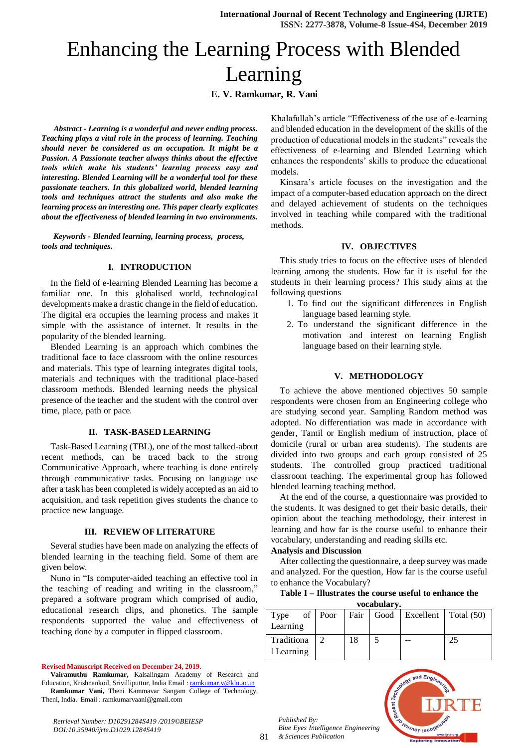# Enhancing the Learning Process with Blended Learning

# **E. V. Ramkumar, R. Vani**

*Abstract - Learning is a wonderful and never ending process. Teaching plays a vital role in the process of learning. Teaching should never be considered as an occupation. It might be a Passion. A Passionate teacher always thinks about the effective tools which make his students' learning process easy and interesting. Blended Learning will be a wonderful tool for these passionate teachers. In this globalized world, blended learning tools and techniques attract the students and also make the learning process an interesting one. This paper clearly explicates about the effectiveness of blended learning in two environments.*

*Keywords - Blended learning, learning process, process, tools and techniques.*

## **I. INTRODUCTION**

In the field of e-learning Blended Learning has become a familiar one. In this globalised world, technological developments make a drastic change in the field of education. The digital era occupies the learning process and makes it simple with the assistance of internet. It results in the popularity of the blended learning.

Blended Learning is an approach which combines the traditional face to face classroom with the online resources and materials. This type of learning integrates digital tools, materials and techniques with the traditional place-based classroom methods. Blended learning needs the physical presence of the teacher and the student with the control over time, place, path or pace.

#### **II. TASK-BASED LEARNING**

Task-Based Learning (TBL), one of the most talked-about recent methods, can be traced back to the strong Communicative Approach, where teaching is done entirely through communicative tasks. Focusing on language use after a task has been completed is widely accepted as an aid to acquisition, and task repetition gives students the chance to practice new language.

## **III. REVIEW OF LITERATURE**

Several studies have been made on analyzing the effects of blended learning in the teaching field. Some of them are given below.

Nuno in "Is computer-aided teaching an effective tool in the teaching of reading and writing in the classroom," prepared a software program which comprised of audio, educational research clips, and phonetics. The sample respondents supported the value and effectiveness of teaching done by a computer in flipped classroom.

#### **Revised Manuscript Received on December 24, 2019**.

**Vairamuthu Ramkumar,** Kalsalingam Academy of Research and Education, Krishnankoil, Srivilliputtur, India Email [: ramkumar.v@klu.ac.in](mailto:ramkumar.v@klu.ac.in) **Ramkumar Vani,** Theni Kammavar Sangam College of Technology, Theni, India. Email : ramkumarvaani@gmail.com

Khalafullah's article "Effectiveness of the use of e-learning and blended education in the development of the skills of the production of educational models in the students" reveals the effectiveness of e-learning and Blended Learning which enhances the respondents' skills to produce the educational models.

Kinsara's article focuses on the investigation and the impact of a computer-based education approach on the direct and delayed achievement of students on the techniques involved in teaching while compared with the traditional methods.

## **IV. OBJECTIVES**

This study tries to focus on the effective uses of blended learning among the students. How far it is useful for the students in their learning process? This study aims at the following questions

- 1. To find out the significant differences in English language based learning style.
- 2. To understand the significant difference in the motivation and interest on learning English language based on their learning style.

## **V. METHODOLOGY**

To achieve the above mentioned objectives 50 sample respondents were chosen from an Engineering college who are studying second year. Sampling Random method was adopted. No differentiation was made in accordance with gender, Tamil or English medium of instruction, place of domicile (rural or urban area students). The students are divided into two groups and each group consisted of 25 students. The controlled group practiced traditional classroom teaching. The experimental group has followed blended learning teaching method.

At the end of the course, a questionnaire was provided to the students. It was designed to get their basic details, their opinion about the teaching methodology, their interest in learning and how far is the course useful to enhance their vocabulary, understanding and reading skills etc.

#### **Analysis and Discussion**

After collecting the questionnaire, a deep survey was made and analyzed. For the question, How far is the course useful to enhance the Vocabulary?

| Table I – Illustrates the course useful to enhance the |            |  |  |
|--------------------------------------------------------|------------|--|--|
|                                                        | vocabulary |  |  |

| vocabulai v.             |         |      |  |                               |    |  |
|--------------------------|---------|------|--|-------------------------------|----|--|
| Type                     | of Poor | Fair |  | Good   Excellent   Total (50) |    |  |
| Learning                 |         |      |  |                               |    |  |
| Traditiona<br>1 Learning |         | 18   |  |                               | 25 |  |
|                          |         |      |  |                               |    |  |

*Published By: Blue Eyes Intelligence Engineering & Sciences Publication* 



*Retrieval Number: D10291284S419 /2019©BEIESP DOI:10.35940/ijrte.D1029.1284S419*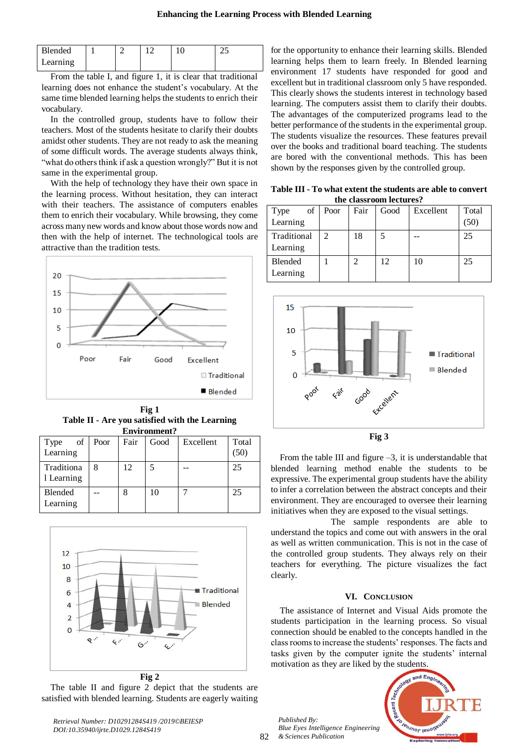| Blended  |  | U | <u>_</u> |
|----------|--|---|----------|
| Learning |  |   |          |

From the table I, and figure 1, it is clear that traditional learning does not enhance the student's vocabulary. At the same time blended learning helps the students to enrich their vocabulary.

In the controlled group, students have to follow their teachers. Most of the students hesitate to clarify their doubts amidst other students. They are not ready to ask the meaning of some difficult words. The average students always think, "what do others think if ask a question wrongly?" But it is not same in the experimental group.

With the help of technology they have their own space in the learning process. Without hesitation, they can interact with their teachers. The assistance of computers enables them to enrich their vocabulary. While browsing, they come across many new words and know about those words now and then with the help of internet. The technological tools are attractive than the tradition tests.



**Fig 1 Table II - Are you satisfied with the Learning Environment?**

| of<br>Type<br>Learning   | Poor | Fair | Good | Excellent | Total<br>(50) |  |  |
|--------------------------|------|------|------|-----------|---------------|--|--|
| Traditiona<br>1 Learning | 8    | 12   |      |           | 25            |  |  |
| Blended<br>Learning      |      |      | 10   |           | 25            |  |  |



**Fig 2**

The table II and figure 2 depict that the students are satisfied with blended learning. Students are eagerly waiting

*Retrieval Number: D10291284S419 /2019©BEIESP*

*DOI:10.35940/ijrte.D1029.1284S419*

for the opportunity to enhance their learning skills. Blended learning helps them to learn freely. In Blended learning environment 17 students have responded for good and excellent but in traditional classroom only 5 have responded. This clearly shows the students interest in technology based learning. The computers assist them to clarify their doubts. The advantages of the computerized programs lead to the better performance of the students in the experimental group. The students visualize the resources. These features prevail over the books and traditional board teaching. The students are bored with the conventional methods. This has been shown by the responses given by the controlled group.

**Table III - To what extent the students are able to convert the classroom lectures?**

| uit chassi oomi ittuu ts |               |               |      |           |               |  |  |
|--------------------------|---------------|---------------|------|-----------|---------------|--|--|
| Type<br>of<br>Learning   | Poor          | Fair          | Good | Excellent | Total<br>(50) |  |  |
| Traditional<br>Learning  | $\mathcal{D}$ | 18            |      |           | 25            |  |  |
| Blended<br>Learning      |               | $\mathcal{D}$ | 12   | 10        | 25            |  |  |



**Fig 3**

From the table III and figure  $-3$ , it is understandable that blended learning method enable the students to be expressive. The experimental group students have the ability to infer a correlation between the abstract concepts and their environment. They are encouraged to oversee their learning initiatives when they are exposed to the visual settings.

 The sample respondents are able to understand the topics and come out with answers in the oral as well as written communication. This is not in the case of the controlled group students. They always rely on their teachers for everything. The picture visualizes the fact clearly.

## **VI. CONCLUSION**

The assistance of Internet and Visual Aids promote the students participation in the learning process. So visual connection should be enabled to the concepts handled in the class rooms to increase the students' responses. The facts and tasks given by the computer ignite the students' internal motivation as they are liked by the students.

*Published By: Blue Eyes Intelligence Engineering & Sciences Publication* 



82